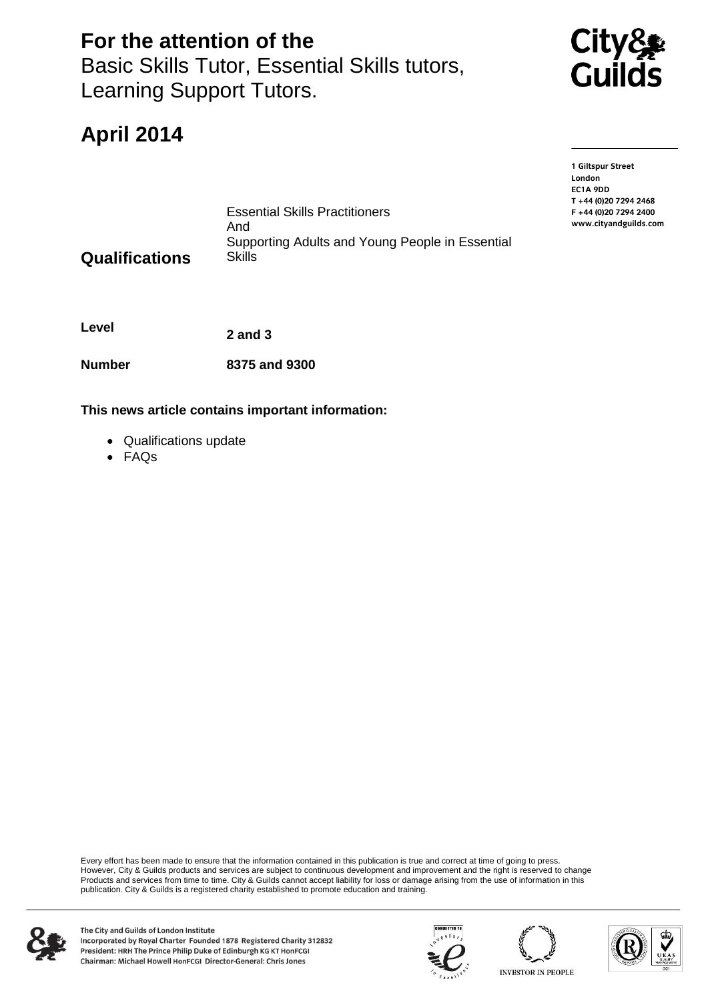**For the attention of the** Basic Skills Tutor, Essential Skills tutors, Learning Support Tutors.

Essential Skills Practitioners

Supporting Adults and Young People in Essential



# **April 2014**

**1 Giltspur Street EC1A 9DD** T +44 (0) 20 7 294 2468 **T +44 (0)20 7294 2468** www.cityandguilds.com **www.cityandguilds.com**

**Qualifications**

**Level 2 and 3**

**Number 8375 and 9300** 

**This news article contains important information:**

And

**Skills** 

- Qualifications update
- FAQs

Every effort has been made to ensure that the information contained in this publication is true and correct at time of going to press. However, City & Guilds products and services are subject to continuous development and improvement and the right is reserved to change Products and services from time to time. City & Guilds cannot accept liability for loss or damage arising from the use of information in this publication. City & Guilds is a registered charity established to promote education and training.







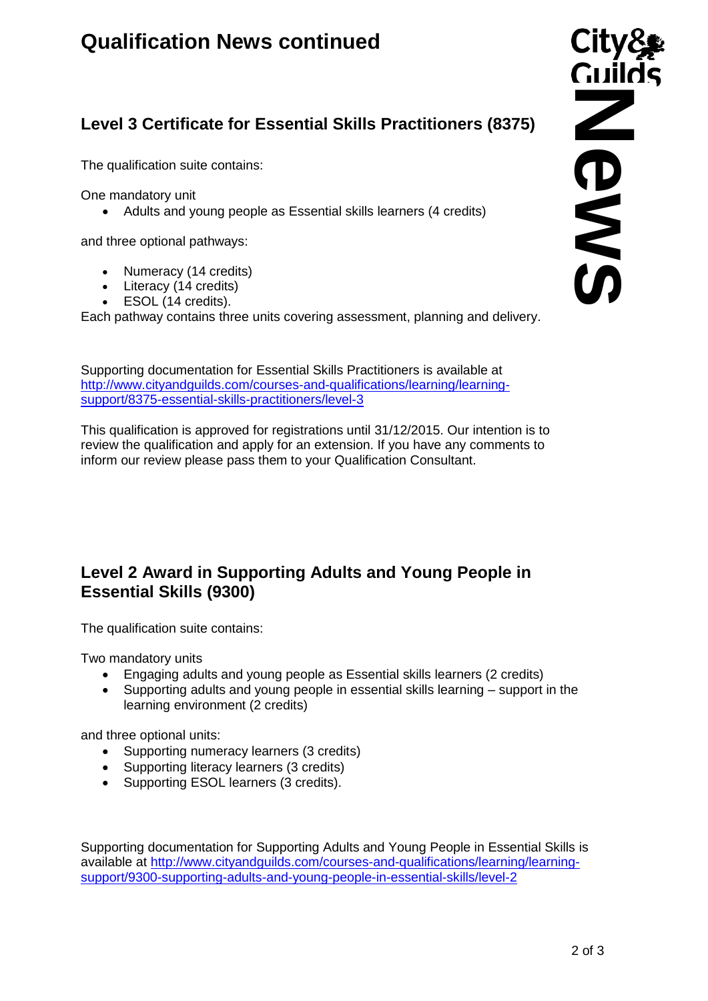# **Qualification News continued**

## **Level 3 Certificate for Essential Skills Practitioners (8375)**

The qualification suite contains:

One mandatory unit

• Adults and young people as Essential skills learners (4 credits)

and three optional pathways:

- Numeracy (14 credits)
- Literacy (14 credits)
- ESOL (14 credits).

Each pathway contains three units covering assessment, planning and delivery.

Supporting documentation for Essential Skills Practitioners is available at [http://www.cityandguilds.com/courses-and-qualifications/learning/learning](http://www.cityandguilds.com/courses-and-qualifications/learning/learning-support/8375-essential-skills-practitioners/level-3)[support/8375-essential-skills-practitioners/level-3](http://www.cityandguilds.com/courses-and-qualifications/learning/learning-support/8375-essential-skills-practitioners/level-3)

This qualification is approved for registrations until 31/12/2015. Our intention is to review the qualification and apply for an extension. If you have any comments to inform our review please pass them to your Qualification Consultant.

### **Level 2 Award in Supporting Adults and Young People in Essential Skills (9300)**

The qualification suite contains:

Two mandatory units

- Engaging adults and young people as Essential skills learners (2 credits)
- Supporting adults and young people in essential skills learning support in the learning environment (2 credits)

and three optional units:

- Supporting numeracy learners (3 credits)
- Supporting literacy learners (3 credits)
- Supporting ESOL learners (3 credits).

Supporting documentation for Supporting Adults and Young People in Essential Skills is available at [http://www.cityandguilds.com/courses-and-qualifications/learning/learning-](http://www.cityandguilds.com/courses-and-qualifications/learning/learning-support/9300-supporting-adults-and-young-people-in-essential-skills/level-2)**Level 3 Certificate for Essential Skills Practitioners (8375)**<br>
The qualification suite contains:<br>
One mandatory unit<br>
• Adults and young prople as Essential skills learners (4 credits)<br>
• However, yield and contains and

City&<br>Cuilds